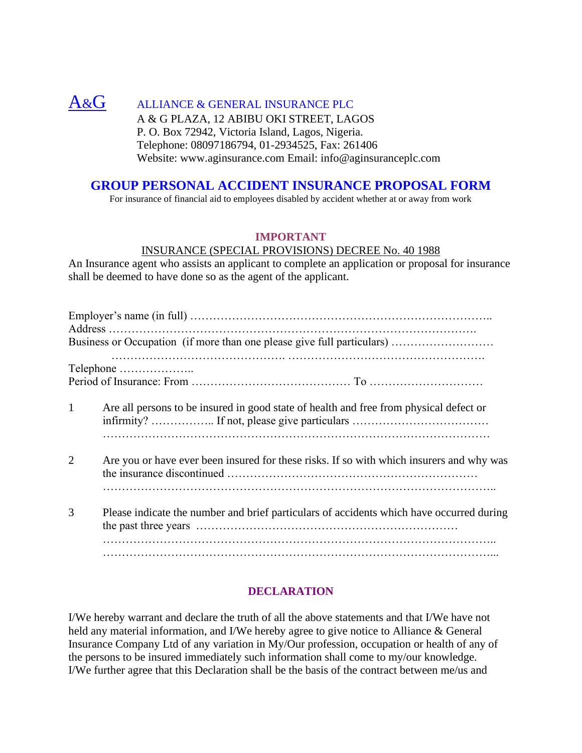# $A\&G$  ALLIANCE & GENERAL INSURANCE PLC A & G PLAZA, 12 ABIBU OKI STREET, LAGOS P. O. Box 72942, Victoria Island, Lagos, Nigeria.

Telephone: 08097186794, 01-2934525, Fax: 261406 Website: www.aginsurance.com Email: info@aginsuranceplc.com

# **GROUP PERSONAL ACCIDENT INSURANCE PROPOSAL FORM**

For insurance of financial aid to employees disabled by accident whether at or away from work

#### **IMPORTANT**

#### INSURANCE (SPECIAL PROVISIONS) DECREE No. 40 1988

An Insurance agent who assists an applicant to complete an application or proposal for insurance shall be deemed to have done so as the agent of the applicant.

|              | Business or Occupation (if more than one please give full particulars)                   |
|--------------|------------------------------------------------------------------------------------------|
|              | Telephone                                                                                |
|              |                                                                                          |
| $\mathbf{1}$ | Are all persons to be insured in good state of health and free from physical defect or   |
| 2            | Are you or have ever been insured for these risks. If so with which insurers and why was |
| 3            | Please indicate the number and brief particulars of accidents which have occurred during |
|              |                                                                                          |

### **DECLARATION**

I/We hereby warrant and declare the truth of all the above statements and that I/We have not held any material information, and I/We hereby agree to give notice to Alliance & General Insurance Company Ltd of any variation in My/Our profession, occupation or health of any of the persons to be insured immediately such information shall come to my/our knowledge. I/We further agree that this Declaration shall be the basis of the contract between me/us and